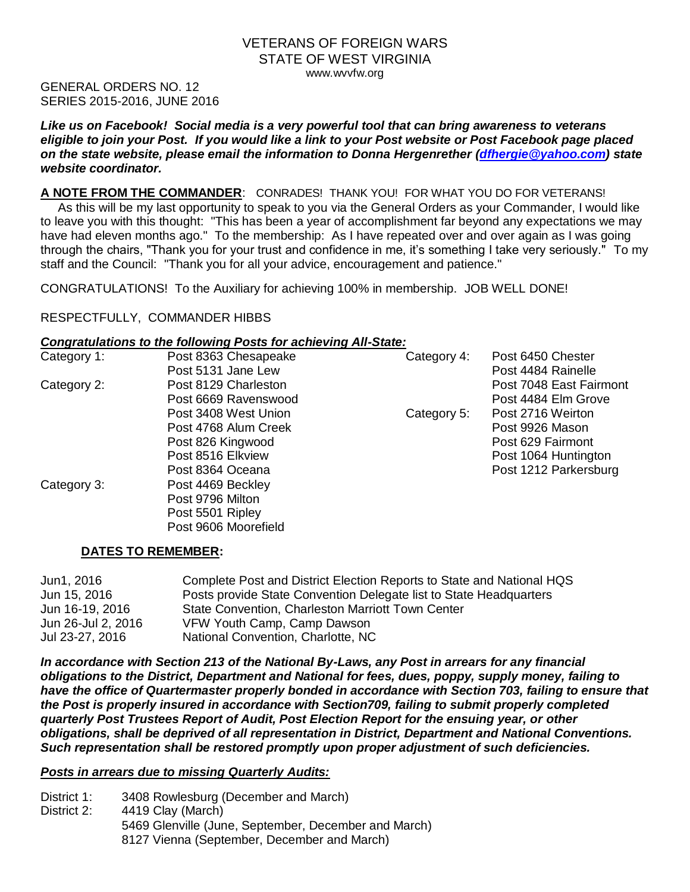### VETERANS OF FOREIGN WARS STATE OF WEST VIRGINIA www.wvvfw.org

GENERAL ORDERS NO. 12 SERIES 2015-2016, JUNE 2016

*Like us on Facebook! Social media is a very powerful tool that can bring awareness to veterans eligible to join your Post. If you would like a link to your Post website or Post Facebook page placed on the state website, please email the information to Donna Hergenrether [\(dfhergie@yahoo.com\)](mailto:dfhergie@yahoo.com) state website coordinator.*

### **A NOTE FROM THE COMMANDER**: CONRADES! THANK YOU! FOR WHAT YOU DO FOR VETERANS!

 As this will be my last opportunity to speak to you via the General Orders as your Commander, I would like to leave you with this thought: "This has been a year of accomplishment far beyond any expectations we may have had eleven months ago." To the membership: As I have repeated over and over again as I was going through the chairs, "Thank you for your trust and confidence in me, it's something I take very seriously." To my staff and the Council: "Thank you for all your advice, encouragement and patience."

CONGRATULATIONS! To the Auxiliary for achieving 100% in membership. JOB WELL DONE!

### RESPECTFULLY, COMMANDER HIBBS

### *Congratulations to the following Posts for achieving All-State:*

| Category 1: | Post 8363 Chesapeake | Category 4: | Post 6450 Chester       |
|-------------|----------------------|-------------|-------------------------|
|             | Post 5131 Jane Lew   |             | Post 4484 Rainelle      |
| Category 2: | Post 8129 Charleston |             | Post 7048 East Fairmont |
|             | Post 6669 Ravenswood |             | Post 4484 Elm Grove     |
|             | Post 3408 West Union | Category 5: | Post 2716 Weirton       |
|             | Post 4768 Alum Creek |             | Post 9926 Mason         |
|             | Post 826 Kingwood    |             | Post 629 Fairmont       |
|             | Post 8516 Elkview    |             | Post 1064 Huntington    |
|             | Post 8364 Oceana     |             | Post 1212 Parkersburg   |
| Category 3: | Post 4469 Beckley    |             |                         |
|             | Post 9796 Milton     |             |                         |
|             | Post 5501 Ripley     |             |                         |
|             | Post 9606 Moorefield |             |                         |

# **DATES TO REMEMBER:**

| Jun1, 2016         | Complete Post and District Election Reports to State and National HQS |
|--------------------|-----------------------------------------------------------------------|
| Jun 15, 2016       | Posts provide State Convention Delegate list to State Headquarters    |
| Jun 16-19, 2016    | State Convention, Charleston Marriott Town Center                     |
| Jun 26-Jul 2, 2016 | VFW Youth Camp, Camp Dawson                                           |
| Jul 23-27, 2016    | National Convention, Charlotte, NC                                    |
|                    |                                                                       |

*In accordance with Section 213 of the National By-Laws, any Post in arrears for any financial obligations to the District, Department and National for fees, dues, poppy, supply money, failing to*  have the office of Quartermaster properly bonded in accordance with Section 703, failing to ensure that *the Post is properly insured in accordance with Section709, failing to submit properly completed quarterly Post Trustees Report of Audit, Post Election Report for the ensuing year, or other obligations, shall be deprived of all representation in District, Department and National Conventions. Such representation shall be restored promptly upon proper adjustment of such deficiencies.*

### *Posts in arrears due to missing Quarterly Audits:*

District 1: 3408 Rowlesburg (December and March) District 2: 4419 Clay (March) 5469 Glenville (June, September, December and March) 8127 Vienna (September, December and March)